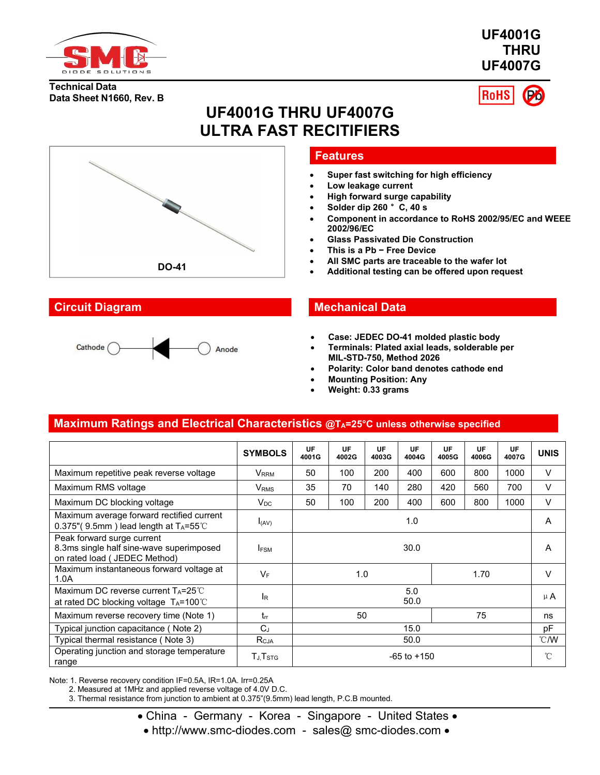

**UF4001G THRU UF4007G**

#### **Technical Data Data Sheet N1660, Rev. B**



# **UF4001G THRU UF4007G ULTRA FAST RECITIFIERS**



## **Features**

- **Super fast switching for high efficiency**
- **Low leakage current**
- **High forward surge capability**
- **Solder dip 260** °**C, 40 s**
- **Component in accordance to RoHS 2002/95/EC and WEEE 2002/96/EC**
- **Glass Passivated Die Construction**
- **This is a Pb − Free Device**
- **All SMC parts are traceable to the wafer lot**
- 

## **Circuit Diagram Mechanical Data**

- **Case: JEDEC DO-41molded plastic body**
- **Terminals: Plated axial leads, solderable per MIL-STD-750, Method 2026**
- **Polarity: Color band denotes cathode end**
- **Mounting Position: Any**
- **Weight: 0.33 grams**

## **Maximum Ratings and Electrical Characteristics @TA=25°C unless otherwise specified**

Anode

|                                                                                                         | <b>SYMBOLS</b>          | <b>UF</b><br>4001G | <b>UF</b><br>4002G | UF<br>4003G | <b>UF</b><br>4004G | <b>UF</b><br>4005G | <b>UF</b><br>4006G | <b>UF</b><br>4007G | <b>UNIS</b> |
|---------------------------------------------------------------------------------------------------------|-------------------------|--------------------|--------------------|-------------|--------------------|--------------------|--------------------|--------------------|-------------|
| Maximum repetitive peak reverse voltage                                                                 | V <sub>RRM</sub>        | 50                 | 100                | 200         | 400                | 600                | 800                | 1000               | V           |
| Maximum RMS voltage                                                                                     | <b>V</b> <sub>RMS</sub> | 35                 | 70                 | 140         | 280                | 420                | 560                | 700                | V           |
| Maximum DC blocking voltage                                                                             | $V_{DC}$                | 50                 | 100                | 200         | 400                | 600                | 800                | 1000               | V           |
| Maximum average forward rectified current<br>0.375"(9.5mm) lead length at $T_A = 55^{\circ}$ C          | $I_{(AV)}$              | 1.0                |                    |             | A                  |                    |                    |                    |             |
| Peak forward surge current<br>8.3ms single half sine-wave superimposed<br>on rated load ( JEDEC Method) | <b>IFSM</b>             | 30.0               |                    |             | A                  |                    |                    |                    |             |
| Maximum instantaneous forward voltage at<br>1.0A                                                        | $V_F$                   | 1.0<br>1.70        |                    |             | V                  |                    |                    |                    |             |
| Maximum DC reverse current $T_A = 25^{\circ}$ C<br>at rated DC blocking voltage $T_A = 100^{\circ}$ C   | <b>IR</b>               | 5.0<br>50.0        |                    |             |                    | $\mu$ A            |                    |                    |             |
| Maximum reverse recovery time (Note 1)                                                                  | $t_{rr}$                | 75<br>50           |                    |             |                    | ns                 |                    |                    |             |
| Typical junction capacitance (Note 2)                                                                   | $C_J$                   | 15.0               |                    |             | pF                 |                    |                    |                    |             |
| Typical thermal resistance (Note 3)                                                                     | R <sub>CJA</sub>        | 50.0               |                    |             |                    |                    | $\degree$ C/W      |                    |             |
| Operating junction and storage temperature<br>range                                                     | $T_{J,}T_{STG}$         | $-65$ to $+150$    |                    |             |                    |                    | $^{\circ}$ C       |                    |             |

Note: 1. Reverse recovery condition IF=0.5A, IR=1.0A. Irr=0.25A

2. Measured at 1MHz and applied reverse voltage of 4.0V D.C.

3. Thermal resistance from junction to ambient at 0.375"(9.5mm) lead length, P.C.B mounted.

• China - Germany - Korea - Singapore - United States •

• http://www.smc-diodes.com - sales@ smc-diodes.com •

Cathode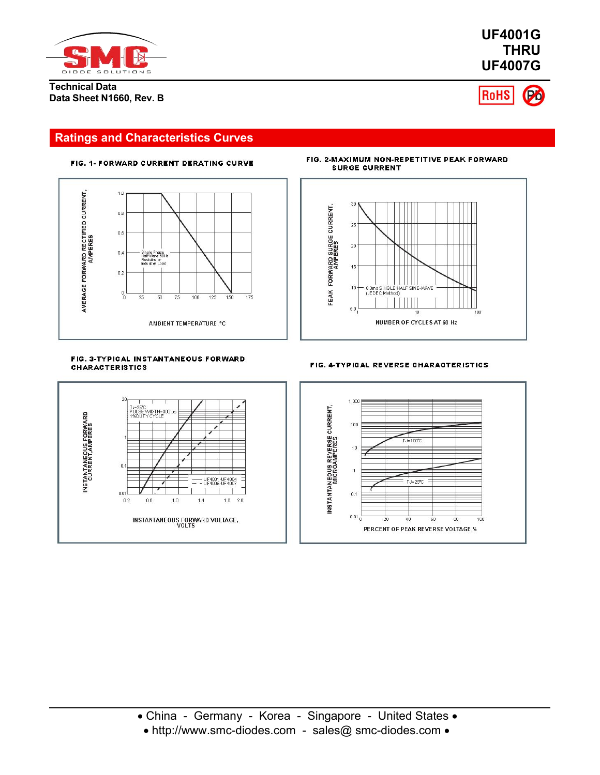

**Technical Data Data Sheet N1660, Rev. B** **UF4001G THRU UF4007G**



## **Ratings and Characteristics Curves**





FIG. 2-MAXIMUM NON-REPETITIVE PEAK FORWARD **SURGE CURRENT** 



#### FIG. 3-TYPICAL INSTANTANEOUS FORWARD **CHARACTERISTICS**



#### FIG. 4-TYPICAL REVERSE CHARACTERISTICS

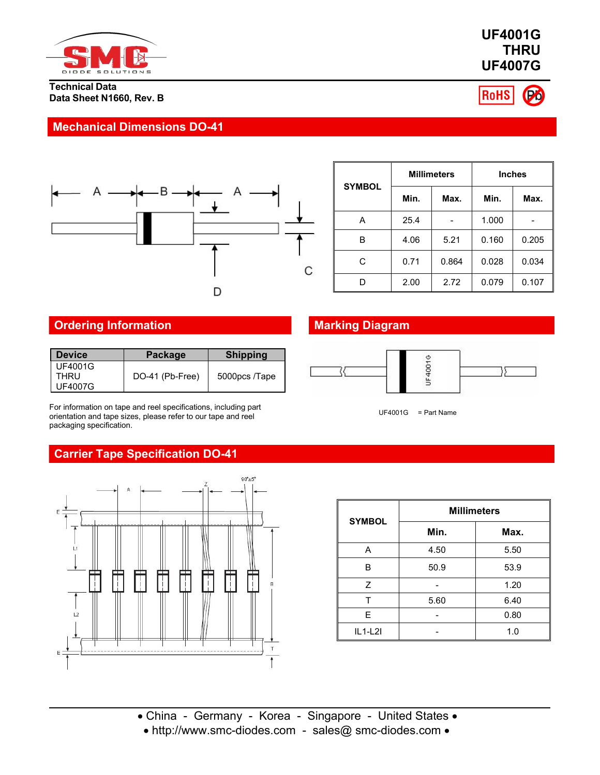

### **Technical Data Data Sheet N1660, Rev. B**

## **Mechanical Dimensions DO-41**



|               |      | <b>Millimeters</b> | <b>Inches</b> |       |  |  |
|---------------|------|--------------------|---------------|-------|--|--|
| <b>SYMBOL</b> | Min. | Max.               | Min.          |       |  |  |
| Α             | 25.4 |                    | 1.000         |       |  |  |
| B             | 4.06 | 5.21               | 0.160         | 0.205 |  |  |
| С             | 0.71 | 0.864              | 0.028         | 0.034 |  |  |
| D             | 2.00 | 2.72               | 0.079         | 0.107 |  |  |

## **Ordering Information Marking Diagram**

| <b>Device</b>                            | <b>Package</b>  | <b>Shipping</b> |  |
|------------------------------------------|-----------------|-----------------|--|
| <b>UF4001G</b><br>THRU<br><b>UF4007G</b> | DO-41 (Pb-Free) | 5000pcs /Tape   |  |

For information on tape and reel specifications, including part orientation and tape sizes, please refer to our tape and reel packaging specification.

## **Carrier Tape Specification DO-41**



| <b>SYMBOL</b> | <b>Millimeters</b> |      |  |  |  |  |
|---------------|--------------------|------|--|--|--|--|
|               | Min.               | Max. |  |  |  |  |
| Α             | 4.50               | 5.50 |  |  |  |  |
| B             | 50.9               | 53.9 |  |  |  |  |
| Z             |                    | 1.20 |  |  |  |  |
|               | 5.60               | 6.40 |  |  |  |  |
| E             |                    | 0.80 |  |  |  |  |
| $IL1-L2I$     |                    | 1.0  |  |  |  |  |

## **UF4001G THRU UF4007G**



 $UF4001G = Part Name$ 

UF40016